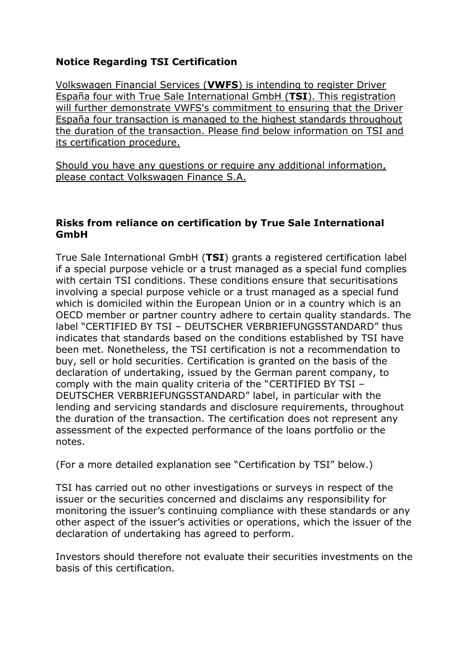## **Notice Regarding TSI Certification**

Volkswagen Financial Services (**VWFS**) is intending to register Driver España four with True Sale International GmbH (**TSI**). This registration will further demonstrate VWFS's commitment to ensuring that the Driver España four transaction is managed to the highest standards throughout the duration of the transaction. Please find below information on TSI and its certification procedure.

Should you have any questions or require any additional information, please contact Volkswagen Finance S.A.

## **Risks from reliance on certification by True Sale International GmbH**

True Sale International GmbH (**TSI**) grants a registered certification label if a special purpose vehicle or a trust managed as a special fund complies with certain TSI conditions. These conditions ensure that securitisations involving a special purpose vehicle or a trust managed as a special fund which is domiciled within the European Union or in a country which is an OECD member or partner country adhere to certain quality standards. The label "CERTIFIED BY TSI – DEUTSCHER VERBRIEFUNGSSTANDARD" thus indicates that standards based on the conditions established by TSI have been met. Nonetheless, the TSI certification is not a recommendation to buy, sell or hold securities. Certification is granted on the basis of the declaration of undertaking, issued by the German parent company, to comply with the main quality criteria of the "CERTIFIED BY TSI – DEUTSCHER VERBRIEFUNGSSTANDARD" label, in particular with the lending and servicing standards and disclosure requirements, throughout the duration of the transaction. The certification does not represent any assessment of the expected performance of the loans portfolio or the notes.

(For a more detailed explanation see "Certification by TSI" below.)

TSI has carried out no other investigations or surveys in respect of the issuer or the securities concerned and disclaims any responsibility for monitoring the issuer's continuing compliance with these standards or any other aspect of the issuer's activities or operations, which the issuer of the declaration of undertaking has agreed to perform.

Investors should therefore not evaluate their securities investments on the basis of this certification.